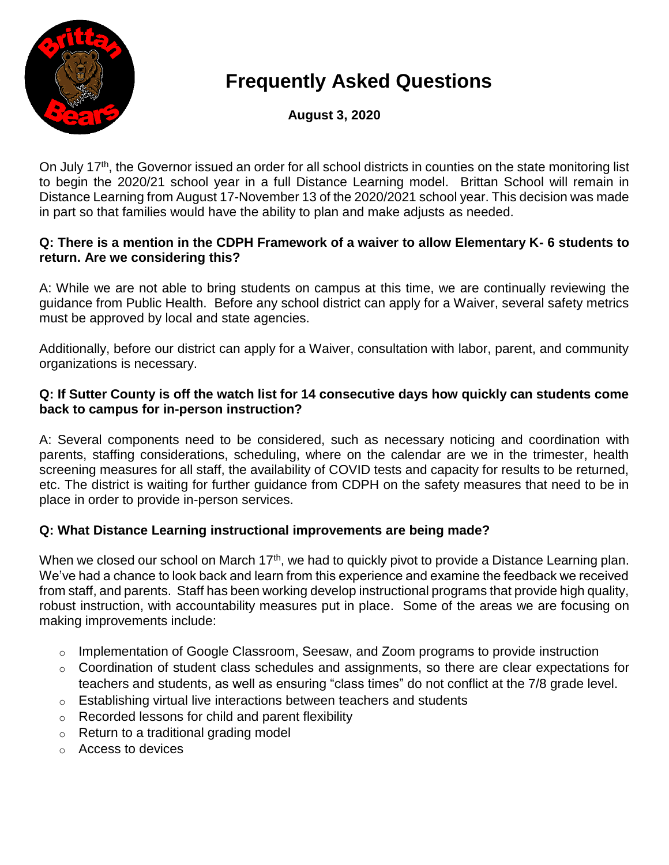

# **Frequently Asked Questions**

**August 3, 2020**

On July 17<sup>th</sup>, the Governor issued an order for all school districts in counties on the state monitoring list to begin the 2020/21 school year in a full Distance Learning model. Brittan School will remain in Distance Learning from August 17-November 13 of the 2020/2021 school year. This decision was made in part so that families would have the ability to plan and make adjusts as needed.

#### **Q: There is a mention in the CDPH Framework of a waiver to allow Elementary K- 6 students to return. Are we considering this?**

A: While we are not able to bring students on campus at this time, we are continually reviewing the guidance from Public Health. Before any school district can apply for a Waiver, several safety metrics must be approved by local and state agencies.

Additionally, before our district can apply for a Waiver, consultation with labor, parent, and community organizations is necessary.

#### **Q: If Sutter County is off the watch list for 14 consecutive days how quickly can students come back to campus for in-person instruction?**

A: Several components need to be considered, such as necessary noticing and coordination with parents, staffing considerations, scheduling, where on the calendar are we in the trimester, health screening measures for all staff, the availability of COVID tests and capacity for results to be returned, etc. The district is waiting for further guidance from CDPH on the safety measures that need to be in place in order to provide in-person services.

# **Q: What Distance Learning instructional improvements are being made?**

When we closed our school on March 17<sup>th</sup>, we had to quickly pivot to provide a Distance Learning plan. We've had a chance to look back and learn from this experience and examine the feedback we received from staff, and parents. Staff has been working develop instructional programs that provide high quality, robust instruction, with accountability measures put in place. Some of the areas we are focusing on making improvements include:

- o Implementation of Google Classroom, Seesaw, and Zoom programs to provide instruction
- o Coordination of student class schedules and assignments, so there are clear expectations for teachers and students, as well as ensuring "class times" do not conflict at the 7/8 grade level.
- o Establishing virtual live interactions between teachers and students
- o Recorded lessons for child and parent flexibility
- o Return to a traditional grading model
- o Access to devices